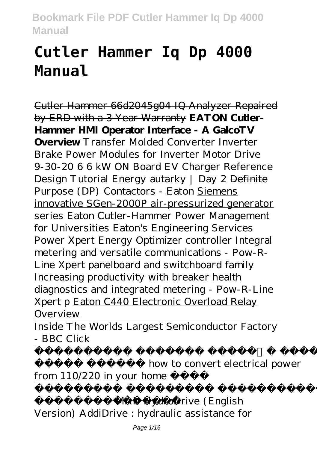# **Cutler Hammer Iq Dp 4000 Manual**

Cutler Hammer 66d2045g04 IQ Analyzer Repaired by ERD with a 3 Year Warranty **EATON Cutler-Hammer HMI Operator Interface - A GalcoTV Overview** *Transfer Molded Converter Inverter Brake Power Modules for Inverter Motor Drive 9-30-20 6 6 kW ON Board EV Charger Reference Design Tutorial Energy autarky | Day 2* Definite Purpose (DP) Contactors - Eaton Siemens innovative SGen-2000P air-pressurized generator series Eaton Cutler-Hammer Power Management for Universities *Eaton's Engineering Services Power Xpert Energy Optimizer controller Integral metering and versatile communications - Pow-R-Line Xpert panelboard and switchboard family Increasing productivity with breaker health diagnostics and integrated metering - Pow-R-Line Xpert p* Eaton C440 Electronic Overload Relay Overview

Inside The Worlds Largest Semiconductor Factory - BBC Click

how to convert electrical power from 110/220 in your home

ءابرهك Volt*MAN HydroDrive (English Version) AddiDrive : hydraulic assistance for*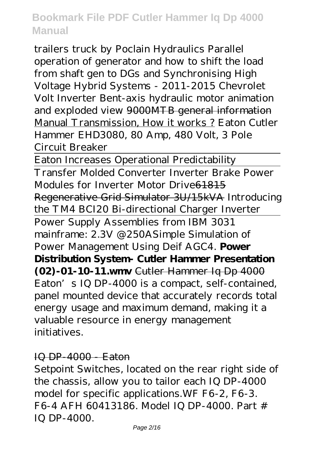*trailers truck by Poclain Hydraulics Parallel operation of generator and how to shift the load from shaft gen to DGs and Synchronising High Voltage Hybrid Systems - 2011-2015 Chevrolet Volt Inverter* Bent-axis hydraulic motor animation and exploded view 9000MTB general information Manual Transmission, How it works ? Eaton Cutler Hammer EHD3080, 80 Amp, 480 Volt, 3 Pole Circuit Breaker

Eaton Increases Operational Predictability Transfer Molded Converter Inverter Brake Power Modules for Inverter Motor Drive61815 Regenerative Grid Simulator 3U/15kVA *Introducing the TM4 BCI20 Bi-directional Charger Inverter* Power Supply Assemblies from IBM 3031 mainframe: 2.3V @250A*Simple Simulation of Power Management Using Deif AGC4.* **Power Distribution System- Cutler Hammer Presentation (02)-01-10-11.wmv** Cutler Hammer Iq Dp 4000 Eaton's IQ DP-4000 is a compact, self-contained, panel mounted device that accurately records total energy usage and maximum demand, making it a valuable resource in energy management initiatives.

#### IQ DP-4000 - Eaton

Setpoint Switches, located on the rear right side of the chassis, allow you to tailor each IQ DP-4000 model for specific applications.WF F6-2, F6-3. F6-4 AFH 60413186. Model IQ DP-4000. Part # IQ DP-4000.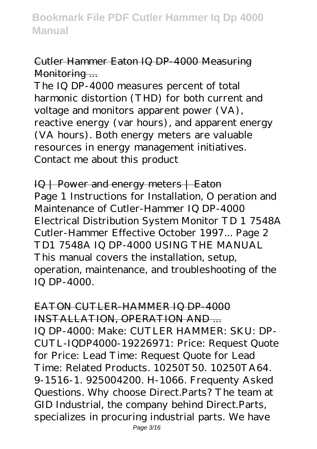## Cutler Hammer Eaton IQ DP-4000 Measuring Monitoring ...

The IQ DP-4000 measures percent of total harmonic distortion (THD) for both current and voltage and monitors apparent power (VA), reactive energy (var hours), and apparent energy (VA hours). Both energy meters are valuable resources in energy management initiatives. Contact me about this product

IQ | Power and energy meters | Eaton Page 1 Instructions for Installation, O peration and Maintenance of Cutler-Hammer IQ DP-4000 Electrical Distribution System Monitor TD 1 7548A Cutler-Hammer Effective October 1997... Page 2 TD1 7548A IQ DP-4000 USING THE MANUAL This manual covers the installation, setup, operation, maintenance, and troubleshooting of the IQ DP-4000.

EATON CUTLER-HAMMER IQ DP-4000 INSTALLATION, OPERATION AND ... IQ DP-4000: Make: CUTLER HAMMER: SKU: DP-CUTL-IQDP4000-19226971: Price: Request Quote for Price: Lead Time: Request Quote for Lead Time: Related Products. 10250T50. 10250TA64. 9-1516-1. 925004200. H-1066. Frequenty Asked Questions. Why choose Direct.Parts? The team at GID Industrial, the company behind Direct.Parts, specializes in procuring industrial parts. We have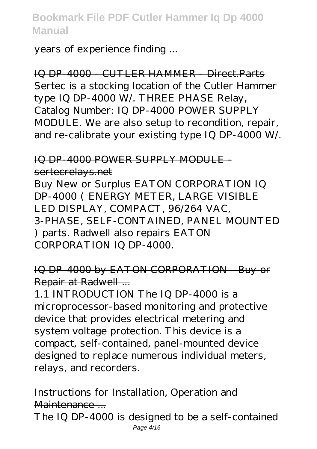years of experience finding ...

IQ DP-4000 - CUTLER HAMMER - Direct.Parts Sertec is a stocking location of the Cutler Hammer type IQ DP-4000 W/. THREE PHASE Relay, Catalog Number: IQ DP-4000 POWER SUPPLY MODULE. We are also setup to recondition, repair, and re-calibrate your existing type IQ DP-4000 W/.

#### IQ DP-4000 POWER SUPPLY MODULEsertecrelays.net

Buy New or Surplus EATON CORPORATION IQ DP-4000 ( ENERGY METER, LARGE VISIBLE LED DISPLAY, COMPACT, 96/264 VAC, 3-PHASE, SELF-CONTAINED, PANEL MOUNTED ) parts. Radwell also repairs EATON CORPORATION IQ DP-4000.

## IQ DP-4000 by EATON CORPORATION - Buy or Repair at Radwell ...

1.1 INTRODUCTION The IQ DP-4000 is a microprocessor-based monitoring and protective device that provides electrical metering and system voltage protection. This device is a compact, self-contained, panel-mounted device designed to replace numerous individual meters, relays, and recorders.

Instructions for Installation, Operation and Maintenance ...

The IQ DP-4000 is designed to be a self-contained Page 4/16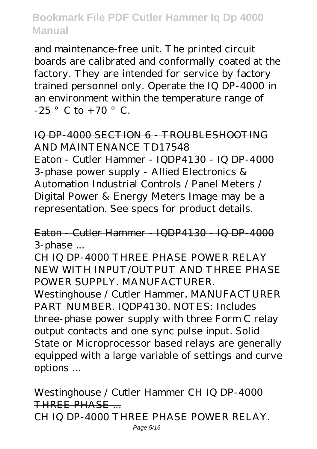and maintenance-free unit. The printed circuit boards are calibrated and conformally coated at the factory. They are intended for service by factory trained personnel only. Operate the IQ DP-4000 in an environment within the temperature range of  $-25$   $\degree$  C to  $+70$   $\degree$  C.

## IQ DP-4000 SECTION 6 - TROUBLESHOOTING AND MAINTENANCE TD17548

Eaton - Cutler Hammer - IQDP4130 - IQ DP-4000 3-phase power supply - Allied Electronics & Automation Industrial Controls / Panel Meters / Digital Power & Energy Meters Image may be a representation. See specs for product details.

Eaton - Cutler Hammer - IQDP4130 - IQ DP-4000 3-phase ...

CH IQ DP-4000 THREE PHASE POWER RELAY NEW WITH INPUT/OUTPUT AND THREE PHASE POWER SUPPLY. MANUFACTURER.

Westinghouse / Cutler Hammer. MANUFACTURER PART NUMBER. IQDP4130. NOTES: Includes three-phase power supply with three Form C relay output contacts and one sync pulse input. Solid State or Microprocessor based relays are generally equipped with a large variable of settings and curve options ...

Westinghouse / Cutler Hammer CH IQ DP-4000 THREE PHASE ... CH IQ DP-4000 THREE PHASE POWER RELAY. Page 5/16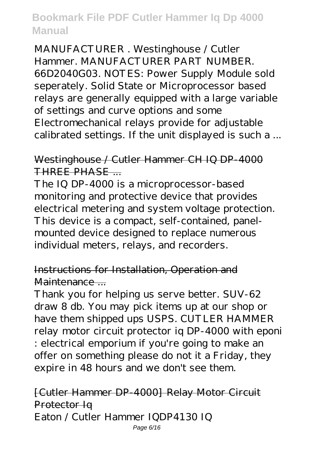MANUFACTURER . Westinghouse / Cutler Hammer. MANUFACTURER PART NUMBER. 66D2040G03. NOTES: Power Supply Module sold seperately. Solid State or Microprocessor based relays are generally equipped with a large variable of settings and curve options and some Electromechanical relays provide for adjustable calibrated settings. If the unit displayed is such a ...

## Westinghouse / Cutler Hammer CH IQ DP-4000 THREE PHASE

The IQ DP-4000 is a microprocessor-based monitoring and protective device that provides electrical metering and system voltage protection. This device is a compact, self-contained, panelmounted device designed to replace numerous individual meters, relays, and recorders.

## Instructions for Installation, Operation and Maintenance ...

Thank you for helping us serve better. SUV-62 draw 8 db. You may pick items up at our shop or have them shipped ups USPS. CUTLER HAMMER relay motor circuit protector iq DP-4000 with eponi : electrical emporium if you're going to make an offer on something please do not it a Friday, they expire in 48 hours and we don't see them.

#### [Cutler Hammer DP-4000] Relay Motor Circuit Protector Iq Eaton / Cutler Hammer IQDP4130 IQ Page 6/16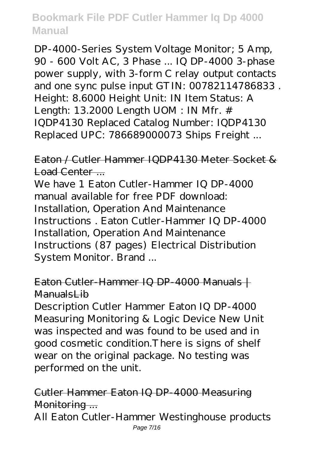DP-4000-Series System Voltage Monitor; 5 Amp, 90 - 600 Volt AC, 3 Phase ... IQ DP-4000 3-phase power supply, with 3-form C relay output contacts and one sync pulse input GTIN: 00782114786833 . Height: 8.6000 Height Unit: IN Item Status: A Length: 13.2000 Length UOM : IN Mfr. # IQDP4130 Replaced Catalog Number: IQDP4130 Replaced UPC: 786689000073 Ships Freight ...

Eaton / Cutler Hammer IQDP4130 Meter Socket & Load Center ...

We have 1 Eaton Cutler-Hammer IQ DP-4000 manual available for free PDF download: Installation, Operation And Maintenance Instructions . Eaton Cutler-Hammer IQ DP-4000 Installation, Operation And Maintenance Instructions (87 pages) Electrical Distribution System Monitor. Brand ...

## Eaton Cutler-Hammer IQ DP-4000 Manuals + ManualsLib

Description Cutler Hammer Eaton IQ DP-4000 Measuring Monitoring & Logic Device New Unit was inspected and was found to be used and in good cosmetic condition.There is signs of shelf wear on the original package. No testing was performed on the unit.

## Cutler Hammer Eaton IQ DP-4000 Measuring Monitoring ...

All Eaton Cutler-Hammer Westinghouse products Page 7/16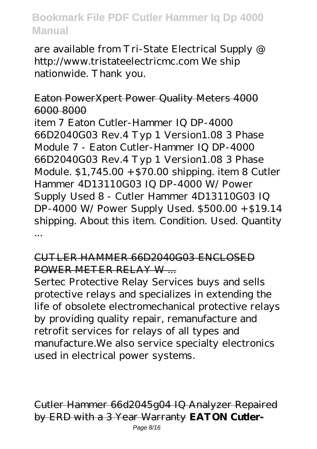are available from Tri-State Electrical Supply @ http://www.tristateelectricmc.com We ship nationwide. Thank you.

#### Eaton PowerXpert Power Quality Meters 4000 6000 8000

item 7 Eaton Cutler-Hammer IQ DP-4000 66D2040G03 Rev.4 Typ 1 Version1.08 3 Phase Module 7 - Eaton Cutler-Hammer IQ DP-4000 66D2040G03 Rev.4 Typ 1 Version1.08 3 Phase Module. \$1,745.00 +\$70.00 shipping. item 8 Cutler Hammer 4D13110G03 IQ DP-4000 W/ Power Supply Used 8 - Cutler Hammer 4D13110G03 IQ DP-4000 W/ Power Supply Used. \$500.00 + \$19.14 shipping. About this item. Condition. Used. Quantity ...

#### CUTLER HAMMER 66D2040G03 ENCLOSED POWER METER RELAY W ...

Sertec Protective Relay Services buys and sells protective relays and specializes in extending the life of obsolete electromechanical protective relays by providing quality repair, remanufacture and retrofit services for relays of all types and manufacture.We also service specialty electronics used in electrical power systems.

Cutler Hammer 66d2045g04 IQ Analyzer Repaired by ERD with a 3 Year Warranty **EATON Cutler-**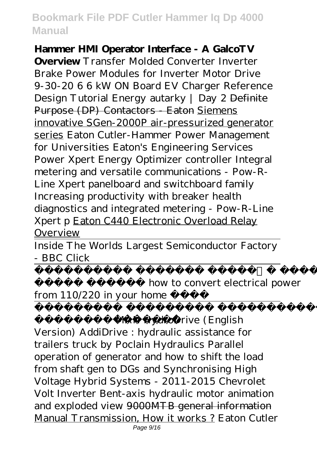#### **Hammer HMI Operator Interface - A GalcoTV**

**Overview** *Transfer Molded Converter Inverter Brake Power Modules for Inverter Motor Drive 9-30-20 6 6 kW ON Board EV Charger Reference Design Tutorial Energy autarky | Day 2* Definite Purpose (DP) Contactors - Eaton Siemens innovative SGen-2000P air-pressurized generator series Eaton Cutler-Hammer Power Management for Universities *Eaton's Engineering Services Power Xpert Energy Optimizer controller Integral metering and versatile communications - Pow-R-Line Xpert panelboard and switchboard family Increasing productivity with breaker health diagnostics and integrated metering - Pow-R-Line Xpert p* Eaton C440 Electronic Overload Relay Overview

Inside The Worlds Largest Semiconductor Factory - BBC Click

how to convert electrical power from 110/220 in your home

ءابرهك Volt*MAN HydroDrive (English Version) AddiDrive : hydraulic assistance for trailers truck by Poclain Hydraulics Parallel operation of generator and how to shift the load from shaft gen to DGs and Synchronising High Voltage Hybrid Systems - 2011-2015 Chevrolet Volt Inverter* Bent-axis hydraulic motor animation and exploded view 9000MTB general information Manual Transmission, How it works ? Eaton Cutler Page 9/16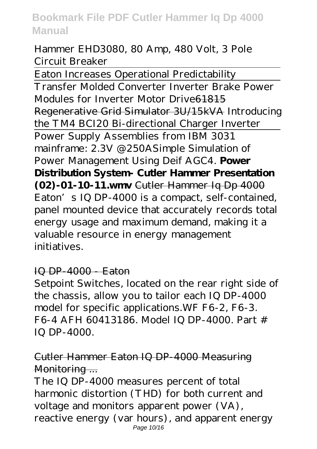Hammer EHD3080, 80 Amp, 480 Volt, 3 Pole Circuit Breaker

Eaton Increases Operational Predictability

Transfer Molded Converter Inverter Brake Power Modules for Inverter Motor Drive61815 Regenerative Grid Simulator 3U/15kVA *Introducing the TM4 BCI20 Bi-directional Charger Inverter* Power Supply Assemblies from IBM 3031 mainframe: 2.3V @250A*Simple Simulation of Power Management Using Deif AGC4.* **Power Distribution System- Cutler Hammer Presentation (02)-01-10-11.wmv** Cutler Hammer Iq Dp 4000 Eaton's IQ DP-4000 is a compact, self-contained, panel mounted device that accurately records total energy usage and maximum demand, making it a valuable resource in energy management initiatives.

#### IQ DP-4000 - Eaton

Setpoint Switches, located on the rear right side of the chassis, allow you to tailor each IQ DP-4000 model for specific applications.WF F6-2, F6-3. F6-4 AFH 60413186. Model IQ DP-4000. Part # IQ DP-4000.

# Cutler Hammer Eaton IQ DP-4000 Measuring Monitoring ...

The IQ DP-4000 measures percent of total harmonic distortion (THD) for both current and voltage and monitors apparent power (VA), reactive energy (var hours), and apparent energy Page 10/16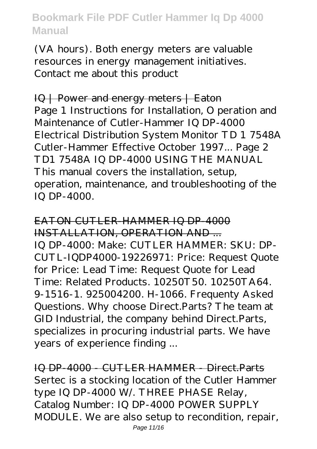(VA hours). Both energy meters are valuable resources in energy management initiatives. Contact me about this product

IQ | Power and energy meters | Eaton Page 1 Instructions for Installation, O peration and Maintenance of Cutler-Hammer IQ DP-4000 Electrical Distribution System Monitor TD 1 7548A Cutler-Hammer Effective October 1997... Page 2 TD1 7548A IQ DP-4000 USING THE MANUAL This manual covers the installation, setup, operation, maintenance, and troubleshooting of the IQ DP-4000.

EATON CUTLER-HAMMER IQ DP-4000 INSTALLATION, OPERATION AND ... IQ DP-4000: Make: CUTLER HAMMER: SKU: DP-CUTL-IQDP4000-19226971: Price: Request Quote for Price: Lead Time: Request Quote for Lead Time: Related Products. 10250T50. 10250TA64. 9-1516-1. 925004200. H-1066. Frequenty Asked Questions. Why choose Direct.Parts? The team at GID Industrial, the company behind Direct.Parts, specializes in procuring industrial parts. We have years of experience finding ...

IQ DP-4000 - CUTLER HAMMER - Direct. Parts Sertec is a stocking location of the Cutler Hammer type IQ DP-4000 W/. THREE PHASE Relay, Catalog Number: IQ DP-4000 POWER SUPPLY MODULE. We are also setup to recondition, repair,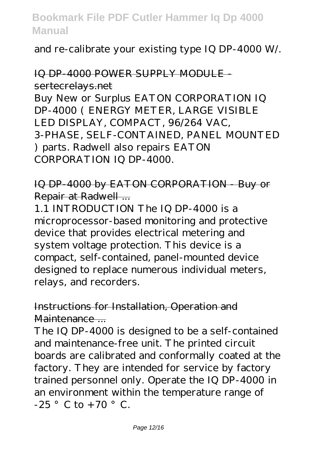and re-calibrate your existing type IQ DP-4000 W/.

## IQ DP-4000 POWER SUPPLY MODULE sertecrelays.net

Buy New or Surplus EATON CORPORATION IQ DP-4000 ( ENERGY METER, LARGE VISIBLE LED DISPLAY, COMPACT, 96/264 VAC, 3-PHASE, SELF-CONTAINED, PANEL MOUNTED ) parts. Radwell also repairs EATON CORPORATION IQ DP-4000.

## IQ DP-4000 by EATON CORPORATION - Buy or Repair at Radwell ...

1.1 INTRODUCTION The IQ DP-4000 is a microprocessor-based monitoring and protective device that provides electrical metering and system voltage protection. This device is a compact, self-contained, panel-mounted device designed to replace numerous individual meters, relays, and recorders.

#### Instructions for Installation, Operation and Maintenance ...

The IQ DP-4000 is designed to be a self-contained and maintenance-free unit. The printed circuit boards are calibrated and conformally coated at the factory. They are intended for service by factory trained personnel only. Operate the IQ DP-4000 in an environment within the temperature range of  $-25$   $\degree$  C to +70  $\degree$  C.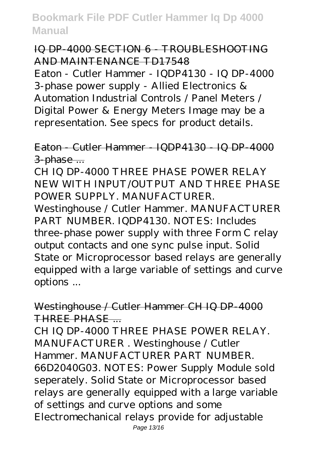## IQ DP-4000 SECTION 6 TROUBLESHOOTING AND MAINTENANCE TD17548

Eaton - Cutler Hammer - IQDP4130 - IQ DP-4000 3-phase power supply - Allied Electronics & Automation Industrial Controls / Panel Meters / Digital Power & Energy Meters Image may be a representation. See specs for product details.

## Eaton - Cutler Hammer - IQDP4130 - IQ DP-4000 3-phase ...

CH IQ DP-4000 THREE PHASE POWER RELAY NEW WITH INPUT/OUTPUT AND THREE PHASE POWER SUPPLY. MANUFACTURER.

Westinghouse / Cutler Hammer. MANUFACTURER PART NUMBER. IQDP4130. NOTES: Includes three-phase power supply with three Form C relay output contacts and one sync pulse input. Solid State or Microprocessor based relays are generally equipped with a large variable of settings and curve options ...

#### Westinghouse / Cutler Hammer CH IQ DP-4000 THREE PHASE ...

CH IQ DP-4000 THREE PHASE POWER RELAY. MANUFACTURER . Westinghouse / Cutler Hammer. MANUFACTURER PART NUMBER. 66D2040G03. NOTES: Power Supply Module sold seperately. Solid State or Microprocessor based relays are generally equipped with a large variable of settings and curve options and some Electromechanical relays provide for adjustable Page 13/16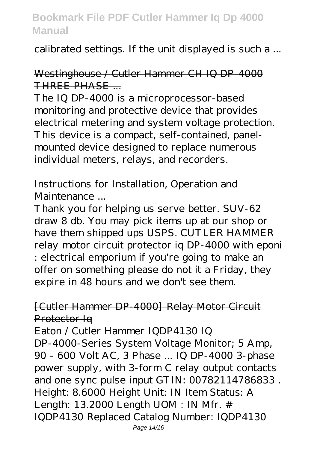calibrated settings. If the unit displayed is such a ...

## Westinghouse / Cutler Hammer CH IQ DP-4000 THREE PHASE......

The IQ DP-4000 is a microprocessor-based monitoring and protective device that provides electrical metering and system voltage protection. This device is a compact, self-contained, panelmounted device designed to replace numerous individual meters, relays, and recorders.

## Instructions for Installation, Operation and Maintenance ...

Thank you for helping us serve better. SUV-62 draw 8 db. You may pick items up at our shop or have them shipped ups USPS. CUTLER HAMMER relay motor circuit protector iq DP-4000 with eponi : electrical emporium if you're going to make an offer on something please do not it a Friday, they expire in 48 hours and we don't see them.

#### [Cutler Hammer DP-4000] Relay Motor Circuit Protector Iq

Eaton / Cutler Hammer IQDP4130 IQ DP-4000-Series System Voltage Monitor; 5 Amp, 90 - 600 Volt AC, 3 Phase ... IQ DP-4000 3-phase power supply, with 3-form C relay output contacts and one sync pulse input GTIN: 00782114786833 . Height: 8.6000 Height Unit: IN Item Status: A Length: 13.2000 Length UOM : IN Mfr. # IQDP4130 Replaced Catalog Number: IQDP4130 Page 14/16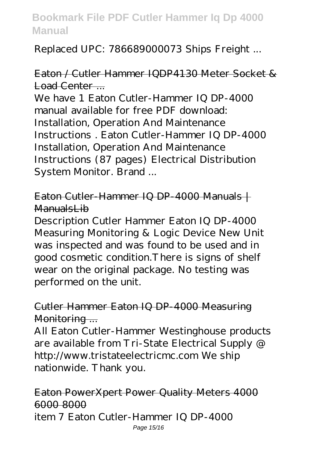Replaced UPC: 786689000073 Ships Freight ...

## Eaton / Cutler Hammer IQDP4130 Meter Socket & Load Center ....

We have 1 Eaton Cutler-Hammer IQ DP-4000 manual available for free PDF download: Installation, Operation And Maintenance Instructions . Eaton Cutler-Hammer IQ DP-4000 Installation, Operation And Maintenance Instructions (87 pages) Electrical Distribution System Monitor. Brand ...

## Eaton Cutler-Hammer IQ DP-4000 Manuals | ManualsLib

Description Cutler Hammer Eaton IQ DP-4000 Measuring Monitoring & Logic Device New Unit was inspected and was found to be used and in good cosmetic condition.There is signs of shelf wear on the original package. No testing was performed on the unit.

#### Cutler Hammer Eaton IQ DP-4000 Measuring Monitoring ...

All Eaton Cutler-Hammer Westinghouse products are available from Tri-State Electrical Supply @ http://www.tristateelectricmc.com We ship nationwide. Thank you.

#### Eaton PowerXpert Power Quality Meters 4000 6000 8000 item 7 Eaton Cutler-Hammer IQ DP-4000 Page 15/16